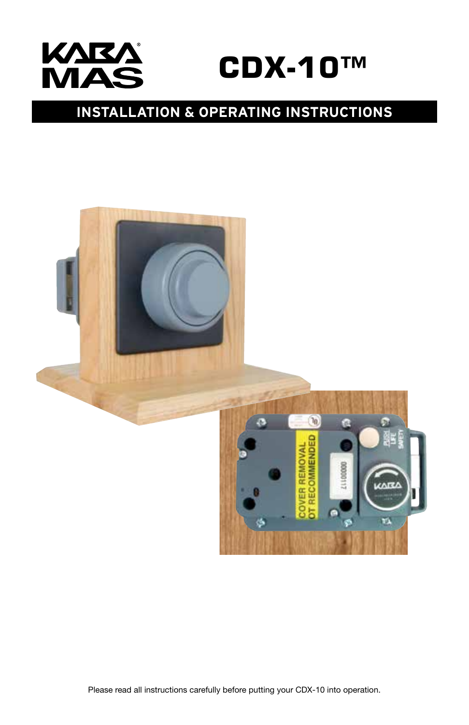

# **INSTALLATION & OPERATING INSTRUCTIONS**



Please read all instructions carefully before putting your CDX-10 into operation.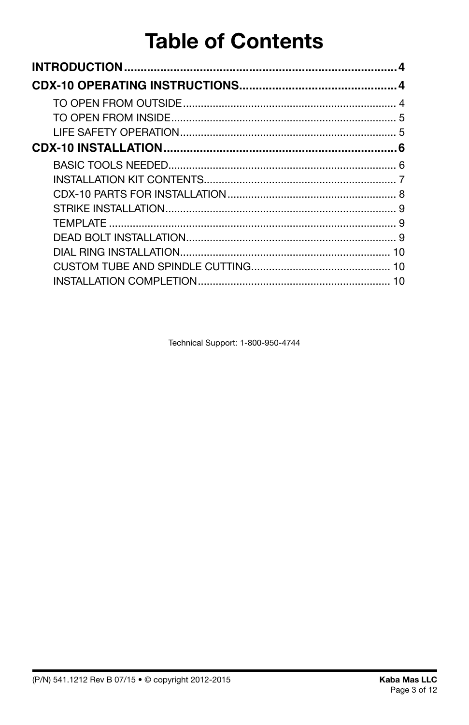# **Table of Contents**

| 5  |
|----|
|    |
|    |
|    |
|    |
|    |
|    |
|    |
|    |
| 10 |
|    |
|    |

Technical Support: 1-800-950-4744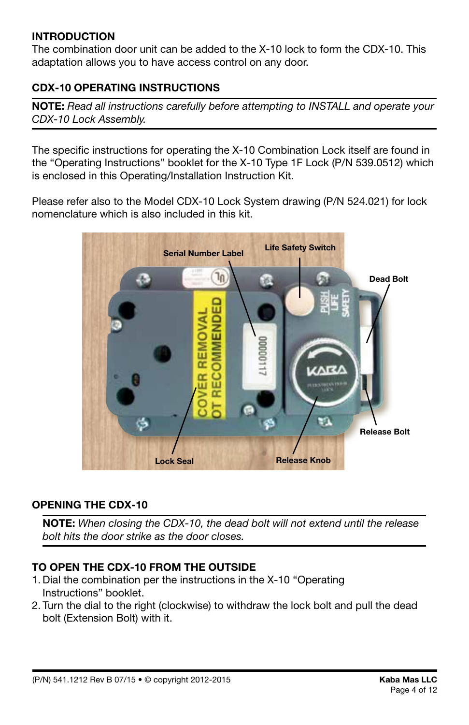# **INTRODUCTION**

The combination door unit can be added to the X-10 lock to form the CDX-10. This adaptation allows you to have access control on any door.

# **CDX-10 OPERATING INSTRUCTIONS**

**NOTE:** *Read all instructions carefully before attempting to INSTALL and operate your CDX-10 Lock Assembly.*

The specific instructions for operating the X-10 Combination Lock itself are found in the "Operating Instructions" booklet for the X-10 Type 1F Lock (P/N 539.0512) which is enclosed in this Operating/Installation Instruction Kit.

Please refer also to the Model CDX-10 Lock System drawing (P/N 524.021) for lock nomenclature which is also included in this kit.



#### **OPENING THE CDX-10**

**NOTE:** *When closing the CDX-10, the dead bolt will not extend until the release bolt hits the door strike as the door closes.*

# **TO OPEN THE CDX-10 FROM THE OUTSIDE**

- 1. Dial the combination per the instructions in the X-10 "Operating Instructions" booklet.
- 2. Turn the dial to the right (clockwise) to withdraw the lock bolt and pull the dead bolt (Extension Bolt) with it.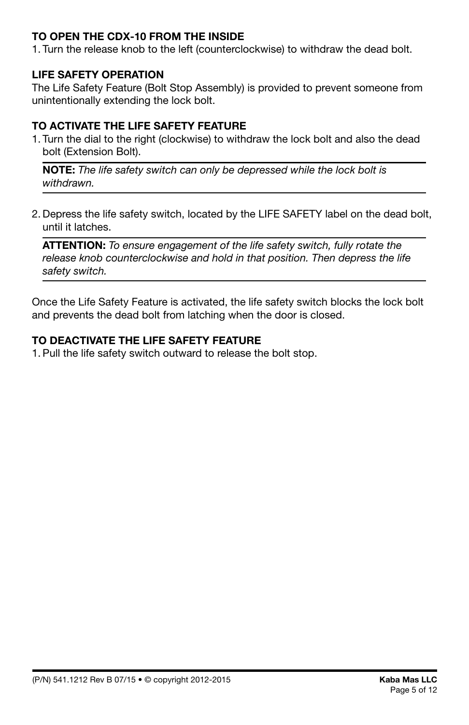# **TO OPEN THE CDX-10 FROM THE INSIDE**

1. Turn the release knob to the left (counterclockwise) to withdraw the dead bolt.

# **LIFE SAFETY OPERATION**

The Life Safety Feature (Bolt Stop Assembly) is provided to prevent someone from unintentionally extending the lock bolt.

# **TO ACTIVATE THE LIFE SAFETY FEATURE**

1. Turn the dial to the right (clockwise) to withdraw the lock bolt and also the dead bolt (Extension Bolt).

**NOTE:** *The life safety switch can only be depressed while the lock bolt is withdrawn.*

2. Depress the life safety switch, located by the LIFE SAFETY label on the dead bolt, until it latches.

**ATTENTION:** *To ensure engagement of the life safety switch, fully rotate the*  release knob counterclockwise and hold in that position. Then depress the life *safety switch.*

Once the Life Safety Feature is activated, the life safety switch blocks the lock bolt and prevents the dead bolt from latching when the door is closed.

# **TO DEACTIVATE THE LIFE SAFETY FEATURE**

1. Pull the life safety switch outward to release the bolt stop.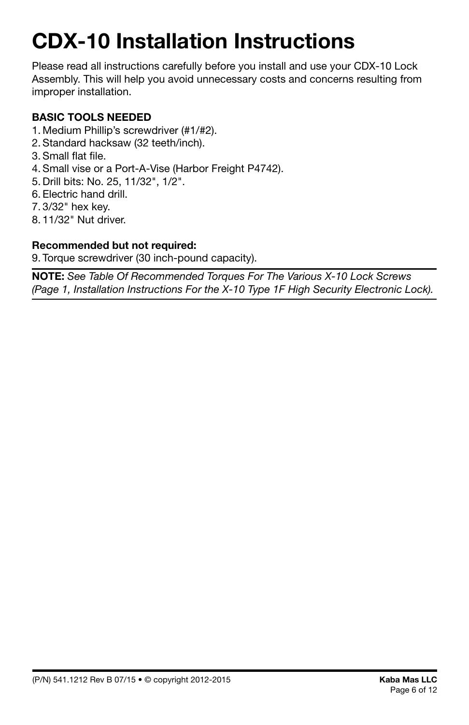# **CDX-10 Installation Instructions**

Please read all instructions carefully before you install and use your CDX-10 Lock Assembly. This will help you avoid unnecessary costs and concerns resulting from improper installation.

# **BASIC TOOLS NEEDED**

- 1. Medium Phillip's screwdriver (#1/#2).
- 2. Standard hacksaw (32 teeth/inch).
- 3. Small flat file.
- 4. Small vise or a Port-A-Vise (Harbor Freight P4742).
- 5. Drill bits: No. 25, 11/32", 1/2".
- 6. Electric hand drill.
- 7. 3/32" hex key.
- 8. 11/32" Nut driver.

# **Recommended but not required:**

9. Torque screwdriver (30 inch-pound capacity).

**NOTE:** *See Table Of Recommended Torques For The Various X-10 Lock Screws (Page 1, Installation Instructions For the X-10 Type 1F High Security Electronic Lock).*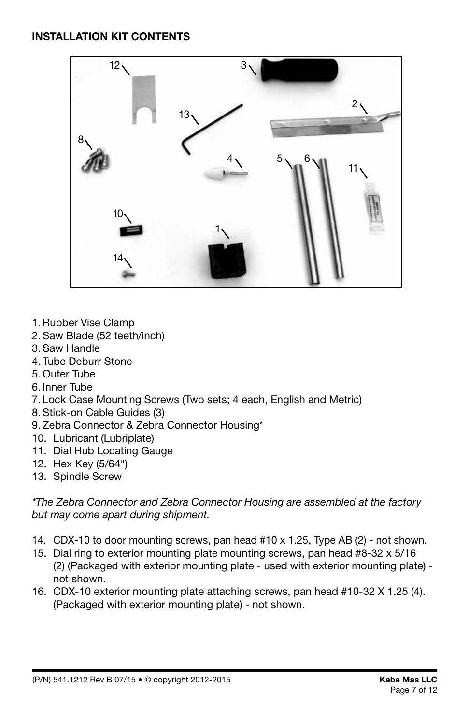

- 1.Rubber Vise Clamp
- 2. Saw Blade (52 teeth/inch)
- 3. Saw Handle
- 4. Tube Deburr Stone
- 5. Outer Tube
- 6. Inner Tube
- 7. Lock Case Mounting Screws (Two sets; 4 each, English and Metric)
- 8. Stick-on Cable Guides (3)
- 9. Zebra Connector & Zebra Connector Housing\*
- 10. Lubricant (Lubriplate)
- 11. Dial Hub Locating Gauge
- 12. Hex Key (5/64")
- 13. Spindle Screw

*\*The Zebra Connector and Zebra Connector Housing are assembled at the factory but may come apart during shipment.*

- 14. CDX-10 to door mounting screws, pan head #10 x 1.25, Type AB (2) not shown.
- 15. Dial ring to exterior mounting plate mounting screws, pan head #8-32 x 5/16 (2) (Packaged with exterior mounting plate - used with exterior mounting plate) not shown.
- 16. CDX-10 exterior mounting plate attaching screws, pan head #10-32 X 1.25 (4). (Packaged with exterior mounting plate) - not shown.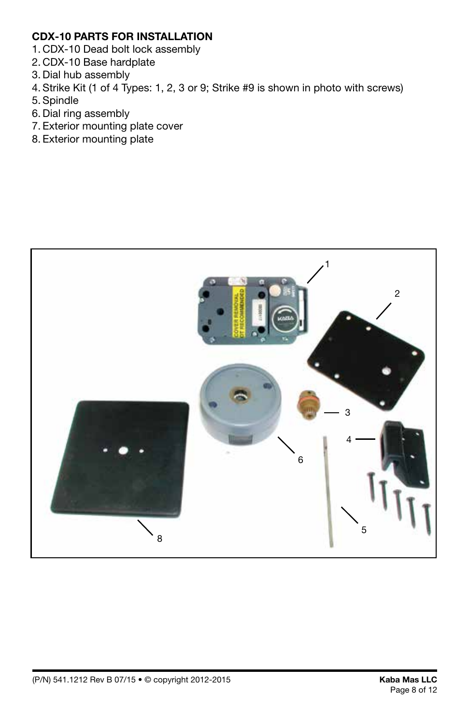# **CDX-10 PARTS FOR INSTALLATION**

- 1. CDX-10 Dead bolt lock assembly
- 2. CDX-10 Base hardplate
- 3. Dial hub assembly
- 4. Strike Kit (1 of 4 Types: 1, 2, 3 or 9; Strike #9 is shown in photo with screws)
- 5. Spindle
- 6. Dial ring assembly
- 7. Exterior mounting plate cover
- 8. Exterior mounting plate

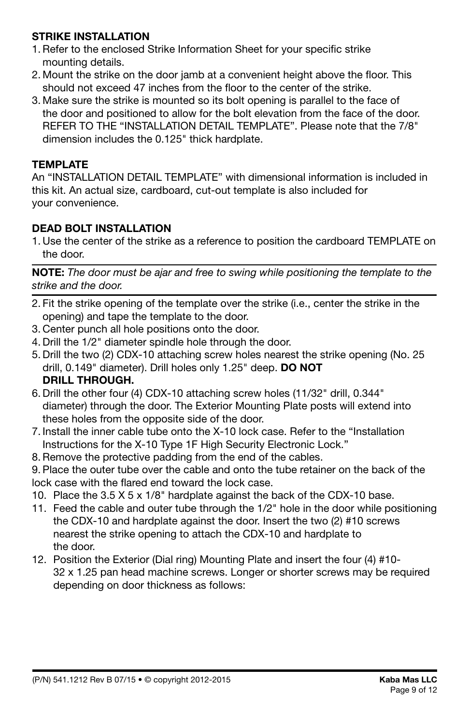# **STRIKE INSTALLATION**

- 1.Refer to the enclosed Strike Information Sheet for your specific strike mounting details.
- 2. Mount the strike on the door jamb at a convenient height above the floor. This should not exceed 47 inches from the floor to the center of the strike.
- 3. Make sure the strike is mounted so its bolt opening is parallel to the face of the door and positioned to allow for the bolt elevation from the face of the door. REFER TO THE "INSTALLATION DETAIL TEMPLATE". Please note that the 7/8" dimension includes the 0.125" thick hardplate.

# **TEMPLATE**

An "INSTALLATION DETAIL TEMPLATE" with dimensional information is included in this kit. An actual size, cardboard, cut-out template is also included for your convenience.

# **DEAD BOLT INSTALLATION**

1. Use the center of the strike as a reference to position the cardboard TEMPLATE on the door.

**NOTE:** *The door must be ajar and free to swing while positioning the template to the strike and the door.*

- 2. Fit the strike opening of the template over the strike (i.e., center the strike in the opening) and tape the template to the door.
- 3. Center punch all hole positions onto the door.
- 4. Drill the 1/2" diameter spindle hole through the door.
- 5. Drill the two (2) CDX-10 attaching screw holes nearest the strike opening (No. 25 drill, 0.149" diameter). Drill holes only 1.25" deep. **DO NOT DRILL THROUGH.**
- 6. Drill the other four (4) CDX-10 attaching screw holes (11/32" drill, 0.344" diameter) through the door. The Exterior Mounting Plate posts will extend into these holes from the opposite side of the door.
- 7. Install the inner cable tube onto the X-10 lock case. Refer to the "Installation Instructions for the X-10 Type 1F High Security Electronic Lock."
- 8.Remove the protective padding from the end of the cables.

9. Place the outer tube over the cable and onto the tube retainer on the back of the lock case with the flared end toward the lock case.

- 10. Place the 3.5 X 5 x 1/8" hardplate against the back of the CDX-10 base.
- 11. Feed the cable and outer tube through the 1/2" hole in the door while positioning the CDX-10 and hardplate against the door. Insert the two (2) #10 screws nearest the strike opening to attach the CDX-10 and hardplate to the door.
- 12. Position the Exterior (Dial ring) Mounting Plate and insert the four (4) #10- 32 x 1.25 pan head machine screws. Longer or shorter screws may be required depending on door thickness as follows: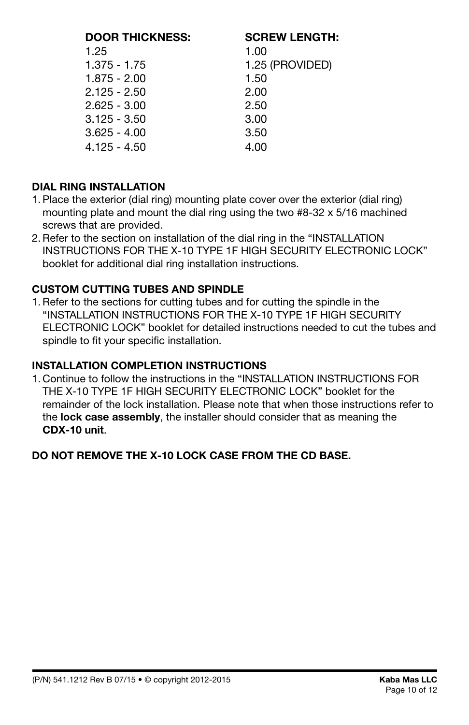| <b>DOOR THICKNESS:</b> | <b>SCREW LENGTH:</b> |
|------------------------|----------------------|
| 1.25                   | 1.00                 |
| $1.375 - 1.75$         | 1.25 (PROVIDED)      |
| $1.875 - 2.00$         | 1.50                 |
| $2.125 - 2.50$         | 2.00                 |
| $2.625 - 3.00$         | 2.50                 |
| $3.125 - 3.50$         | 3.00                 |
| $3.625 - 4.00$         | 3.50                 |
| $4.125 - 4.50$         | 4.00                 |

# **DIAL RING INSTALLATION**

- 1. Place the exterior (dial ring) mounting plate cover over the exterior (dial ring) mounting plate and mount the dial ring using the two #8-32 x 5/16 machined screws that are provided.
- 2.Refer to the section on installation of the dial ring in the "INSTALLATION INSTRUCTIONS FOR THE X-10 TYPE 1F HIGH SECURITY ELECTRONIC LOCK" booklet for additional dial ring installation instructions.

# **CUSTOM CUTTING TUBES AND SPINDLE**

1.Refer to the sections for cutting tubes and for cutting the spindle in the "INSTALLATION INSTRUCTIONS FOR THE X-10 TYPE 1F HIGH SECURITY ELECTRONIC LOCK" booklet for detailed instructions needed to cut the tubes and spindle to fit your specific installation.

# **INSTALLATION COMPLETION INSTRUCTIONS**

1. Continue to follow the instructions in the "INSTALLATION INSTRUCTIONS FOR THE X-10 TYPE 1F HIGH SECURITY ELECTRONIC LOCK" booklet for the remainder of the lock installation. Please note that when those instructions refer to the **lock case assembly**, the installer should consider that as meaning the **CDX-10 unit**.

# **DO NOT REMOVE THE X-10 LOCK CASE FROM THE CD BASE.**